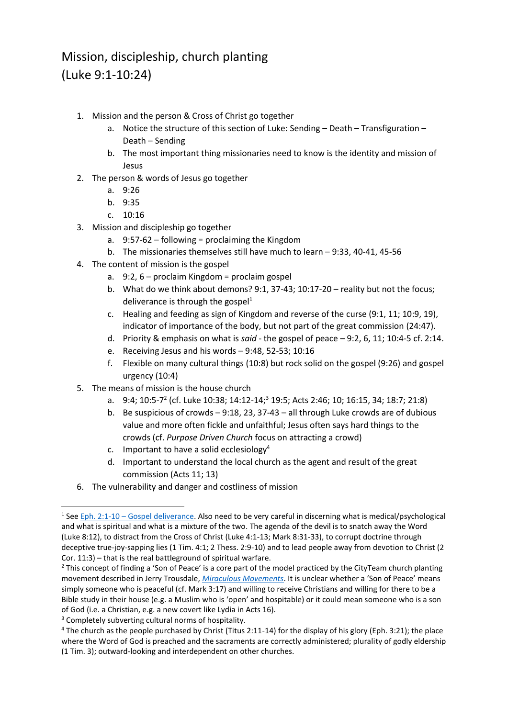## Mission, discipleship, church planting (Luke 9:1-10:24)

- 1. Mission and the person & Cross of Christ go together
	- a. Notice the structure of this section of Luke: Sending Death Transfiguration Death – Sending
	- b. The most important thing missionaries need to know is the identity and mission of Jesus
- 2. The person & words of Jesus go together
	- a. 9:26
	- b. 9:35
	- c. 10:16
- 3. Mission and discipleship go together
	- a. 9:57-62 following = proclaiming the Kingdom
	- b. The missionaries themselves still have much to learn 9:33, 40-41, 45-56
- 4. The content of mission is the gospel
	- a. 9:2, 6 proclaim Kingdom = proclaim gospel
	- b. What do we think about demons? 9:1, 37-43; 10:17-20 reality but not the focus; deliverance is through the gospel $1$
	- c. Healing and feeding as sign of Kingdom and reverse of the curse (9:1, 11; 10:9, 19), indicator of importance of the body, but not part of the great commission (24:47).
	- d. Priority & emphasis on what is *said* the gospel of peace 9:2, 6, 11; 10:4-5 cf. 2:14.
	- e. Receiving Jesus and his words 9:48, 52-53; 10:16
	- f. Flexible on many cultural things (10:8) but rock solid on the gospel (9:26) and gospel urgency (10:4)
- 5. The means of mission is the house church
	- a. 9:4; 10:5-7<sup>2</sup> (cf. Luke 10:38; 14:12-14;<sup>3</sup> 19:5; Acts 2:46; 10; 16:15, 34; 18:7; 21:8)
	- b. Be suspicious of crowds 9:18, 23, 37-43 all through Luke crowds are of dubious value and more often fickle and unfaithful; Jesus often says hard things to the crowds (cf. *Purpose Driven Church* focus on attracting a crowd)
	- c. Important to have a solid ecclesiology<sup>4</sup>
	- d. Important to understand the local church as the agent and result of the great commission (Acts 11; 13)
- 6. The vulnerability and danger and costliness of mission

 $\overline{a}$ 

<sup>&</sup>lt;sup>1</sup> See Eph. 2:1-10 – Gospel deliverance</u>. Also need to be very careful in discerning what is medical/psychological and what is spiritual and what is a mixture of the two. The agenda of the devil is to snatch away the Word (Luke 8:12), to distract from the Cross of Christ (Luke 4:1-13; Mark 8:31-33), to corrupt doctrine through deceptive true-joy-sapping lies (1 Tim. 4:1; 2 Thess. 2:9-10) and to lead people away from devotion to Christ (2 Cor. 11:3) – that is the real battleground of spiritual warfare.

<sup>&</sup>lt;sup>2</sup> This concept of finding a 'Son of Peace' is a core part of the model practiced by the CityTeam church planting movement described in Jerry Trousdale, *[Miraculous Movements](http://miraculousmovements.com/)*. It is unclear whether a 'Son of Peace' means simply someone who is peaceful (cf. Mark 3:17) and willing to receive Christians and willing for there to be a Bible study in their house (e.g. a Muslim who is 'open' and hospitable) or it could mean someone who is a son of God (i.e. a Christian, e.g. a new covert like Lydia in Acts 16).

<sup>&</sup>lt;sup>3</sup> Completely subverting cultural norms of hospitality.

<sup>&</sup>lt;sup>4</sup> The church as the people purchased by Christ (Titus 2:11-14) for the display of his glory (Eph. 3:21); the place where the Word of God is preached and the sacraments are correctly administered; plurality of godly eldership (1 Tim. 3); outward-looking and interdependent on other churches.